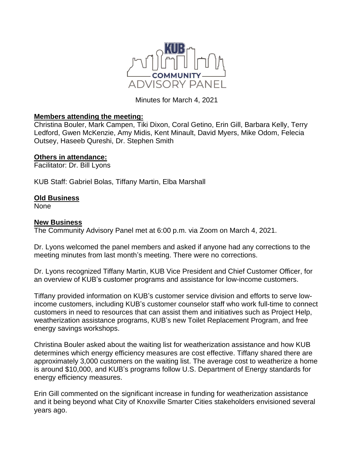

Minutes for March 4, 2021

## **Members attending the meeting:**

Christina Bouler, Mark Campen, Tiki Dixon, Coral Getino, Erin Gill, Barbara Kelly, Terry Ledford, Gwen McKenzie, Amy Midis, Kent Minault, David Myers, Mike Odom, Felecia Outsey, Haseeb Qureshi, Dr. Stephen Smith

## **Others in attendance:**

Facilitator: Dr. Bill Lyons

KUB Staff: Gabriel Bolas, Tiffany Martin, Elba Marshall

## **Old Business**

None

## **New Business**

The Community Advisory Panel met at 6:00 p.m. via Zoom on March 4, 2021.

Dr. Lyons welcomed the panel members and asked if anyone had any corrections to the meeting minutes from last month's meeting. There were no corrections.

Dr. Lyons recognized Tiffany Martin, KUB Vice President and Chief Customer Officer, for an overview of KUB's customer programs and assistance for low-income customers.

Tiffany provided information on KUB's customer service division and efforts to serve lowincome customers, including KUB's customer counselor staff who work full-time to connect customers in need to resources that can assist them and initiatives such as Project Help, weatherization assistance programs, KUB's new Toilet Replacement Program, and free energy savings workshops.

Christina Bouler asked about the waiting list for weatherization assistance and how KUB determines which energy efficiency measures are cost effective. Tiffany shared there are approximately 3,000 customers on the waiting list. The average cost to weatherize a home is around \$10,000, and KUB's programs follow U.S. Department of Energy standards for energy efficiency measures.

Erin Gill commented on the significant increase in funding for weatherization assistance and it being beyond what City of Knoxville Smarter Cities stakeholders envisioned several years ago.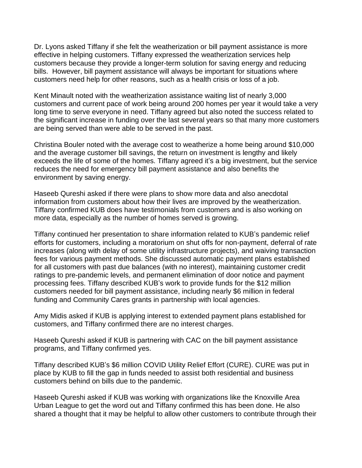Dr. Lyons asked Tiffany if she felt the weatherization or bill payment assistance is more effective in helping customers. Tiffany expressed the weatherization services help customers because they provide a longer-term solution for saving energy and reducing bills. However, bill payment assistance will always be important for situations where customers need help for other reasons, such as a health crisis or loss of a job.

Kent Minault noted with the weatherization assistance waiting list of nearly 3,000 customers and current pace of work being around 200 homes per year it would take a very long time to serve everyone in need. Tiffany agreed but also noted the success related to the significant increase in funding over the last several years so that many more customers are being served than were able to be served in the past.

Christina Bouler noted with the average cost to weatherize a home being around \$10,000 and the average customer bill savings, the return on investment is lengthy and likely exceeds the life of some of the homes. Tiffany agreed it's a big investment, but the service reduces the need for emergency bill payment assistance and also benefits the environment by saving energy.

Haseeb Qureshi asked if there were plans to show more data and also anecdotal information from customers about how their lives are improved by the weatherization. Tiffany confirmed KUB does have testimonials from customers and is also working on more data, especially as the number of homes served is growing.

Tiffany continued her presentation to share information related to KUB's pandemic relief efforts for customers, including a moratorium on shut offs for non-payment, deferral of rate increases (along with delay of some utility infrastructure projects), and waiving transaction fees for various payment methods. She discussed automatic payment plans established for all customers with past due balances (with no interest), maintaining customer credit ratings to pre-pandemic levels, and permanent elimination of door notice and payment processing fees. Tiffany described KUB's work to provide funds for the \$12 million customers needed for bill payment assistance, including nearly \$6 million in federal funding and Community Cares grants in partnership with local agencies.

Amy Midis asked if KUB is applying interest to extended payment plans established for customers, and Tiffany confirmed there are no interest charges.

Haseeb Qureshi asked if KUB is partnering with CAC on the bill payment assistance programs, and Tiffany confirmed yes.

Tiffany described KUB's \$6 million COVID Utility Relief Effort (CURE). CURE was put in place by KUB to fill the gap in funds needed to assist both residential and business customers behind on bills due to the pandemic.

Haseeb Qureshi asked if KUB was working with organizations like the Knoxville Area Urban League to get the word out and Tiffany confirmed this has been done. He also shared a thought that it may be helpful to allow other customers to contribute through their